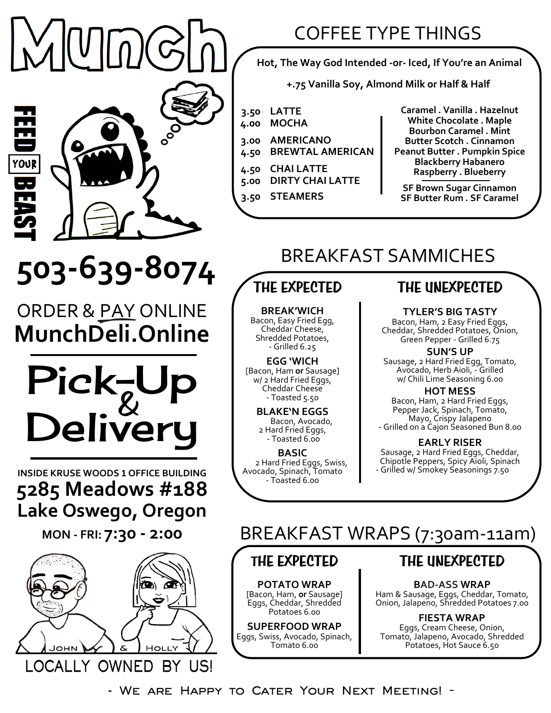$\overline{\phantom{a}}$ 

YOUR

## COFFEE TYPE THINGS

**Hot, The Way God Intended -or- Iced, If You're an Animal**

**+.75 Vanilla Soy, Almond Milk or Half & Half**

- **3.50 LATTE**
- **4.00 MOCHA**
- **3.00 4.50 AMERICANO BREWTAL AMERICAN**
	-
- **4.50 5.00 CHAI LATTE DIRTY CHAI LATTE**
- **3.50 STEAMERS**

**Caramel . Vanilla . Hazelnut White Chocolate . Maple Bourbon Caramel . Mint Butter Scotch . Cinnamon Peanut Butter . Pumpkin Spice Blackberry Habanero Raspberry . Blueberry**

**SF Brown Sugar Cinnamon SF Butter Rum . SF Caramel**

## BREAKFAST SAMMICHES

# **503-639-8074**

ORDER & PAY ONLINE **MunchDeli.Online**



**INSIDE KRUSE WOODS <sup>1</sup> OFFICE BUILDING 5285 Meadows #188 Lake Oswego, Oregon**

**MON - FRI: 7:30 - 2:00**



## **THE EXPECTED**

**BREAK'WICH** Bacon, Easy Fried Egg, Cheddar Cheese, Shredded Potatoes, - Grilled 6.25

**EGG 'WICH**  [Bacon, Ham **or** Sausage] w/ 2 Hard Fried Eggs, Cheddar Cheese - Toasted 5.50

> **BLAKE'N EGGS** Bacon, Avocado, 2 Hard Fried Eggs, - Toasted 6.00

**BASIC** 2 Hard Fried Eggs, Swiss, Avocado, Spinach, Tomato - Toasted 6.00

### **THE UNEXPECTED**

**TYLER'S BIG TASTY**

Bacon, Ham, 2 Easy Fried Eggs, Cheddar, Shredded Potatoes, Onion, Green Pepper - Grilled 6.75

**SUN'S UP** Sausage, 2 Hard Fried Egg, Tomato, Avocado, Herb Aioli, - Grilled w/ Chili Lime Seasoning 6.00

**HOT MESS** Bacon, Ham, 2 Hard Fried Eggs, Pepper Jack, Spinach, Tomato, Mayo, Crispy Jalapeno - Grilled on a Cajon Seasoned Bun 8.00

**EARLY RISER**  Sausage, 2 Hard Fried Eggs, Cheddar, Chipotle Peppers, Spicy Aioli, Spinach - Grilled w/ Smokey Seasonings 7.50

## BREAKFAST WRAPS (7:30am-11am)

#### **THE EXPECTED**

**POTATO WRAP** [Bacon, Ham, **or** Sausage] Eggs, Cheddar, Shredded Potatoes 6.00

**SUPERFOOD WRAP** Eggs, Swiss, Avocado, Spinach, Tomato 6.00

### **THE UNEXPECTED**

**BAD-ASS WRAP** Ham & Sausage, Eggs, Cheddar, Tomato, Onion, Jalapeno, Shredded Potatoes 7.00

**FIESTA WRAP**  Eggs, Cream Cheese, Onion, Tomato, Jalapeno, Avocado, Shredded Potatoes, Hot Sauce 6.50

**- We are Happy to Cater Your Next Meeting! -**